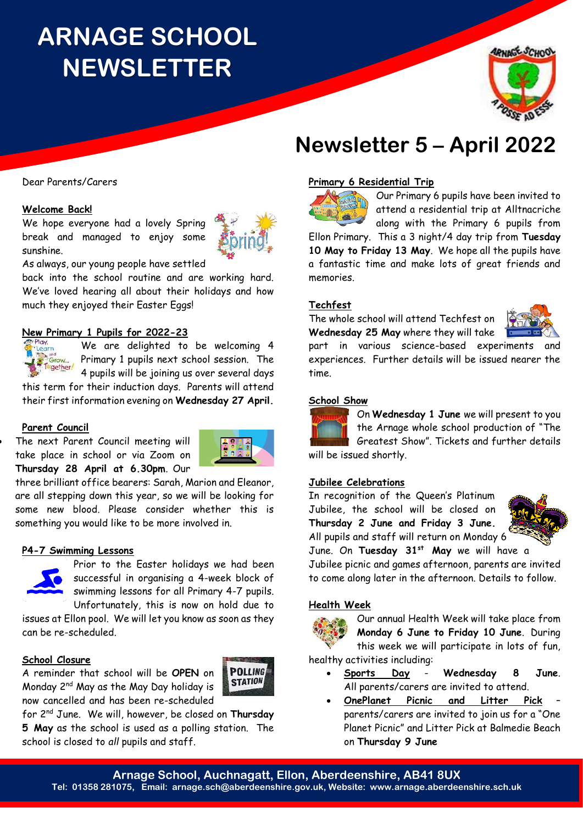# **ARNAGE SCHOOL NEWSLETTER**



# **Newsletter 5 – April 2022**

### **Primary 6 Residential Trip**



Our Primary 6 pupils have been invited to attend a residential trip at Alltnacriche along with the Primary 6 pupils from

Ellon Primary. This a 3 night/4 day trip from **Tuesday 10 May to Friday 13 May**. We hope all the pupils have a fantastic time and make lots of great friends and memories.

#### **Techfest**

The whole school will attend Techfest on **Wednesday 25 May** where they will take



part in various science-based experiments and experiences. Further details will be issued nearer the time.

#### **School Show**



On **Wednesday 1 June** we will present to you the Arnage whole school production of "The Greatest Show". Tickets and further details will be issued shortly.

#### **Jubilee Celebrations**

In recognition of the Queen's Platinum Jubilee, the school will be closed on **Thursday 2 June and Friday 3 June.**  All pupils and staff will return on Monday 6



June. On **Tuesday 31st May** we will have a Jubilee picnic and games afternoon, parents are invited to come along later in the afternoon. Details to follow.

#### **Health Week**



Our annual Health Week will take place from **Monday 6 June to Friday 10 June**. During this week we will participate in lots of fun, healthy activities including:

- **Sports Day Wednesday 8 June**. All parents/carers are invited to attend.
- **OnePlanet Picnic and Litter Pick** parents/carers are invited to join us for a "One Planet Picnic" and Litter Pick at Balmedie Beach on **Thursday 9 June**

# Dear Parents/Carers

### **Welcome Back!**

We hope everyone had a lovely Spring break and managed to enjoy some sunshine.



As always, our young people have settled

back into the school routine and are working hard. We've loved hearing all about their holidays and how much they enjoyed their Easter Eggs!

# **New Primary 1 Pupils for 2022-23**<br>*CPlay,* **We are delighted to**



We are delighted to be welcoming 4 Primary 1 pupils next school session. The 4 pupils will be joining us over several days

this term for their induction days. Parents will attend their first information evening on **Wednesday 27 April.**

#### **Parent Council**

The next Parent Council meeting will take place in school or via Zoom on **Thursday 28 April at 6.30pm**. Our



**POLLING STATION** 

three brilliant office bearers: Sarah, Marion and Eleanor, are all stepping down this year, so we will be looking for some new blood. Please consider whether this is something you would like to be more involved in.

#### **P4-7 Swimming Lessons**



Prior to the Easter holidays we had been successful in organising a 4-week block of swimming lessons for all Primary 4-7 pupils. Unfortunately, this is now on hold due to

issues at Ellon pool. We will let you know as soon as they can be re-scheduled.

# **School Closure**

A reminder that school will be **OPEN** on Monday 2nd May as the May Day holiday is now cancelled and has been re-scheduled

for 2 nd June. We will, however, be closed on **Thursday 5 May** as the school is used as a polling station. The school is closed to *all* pupils and staff.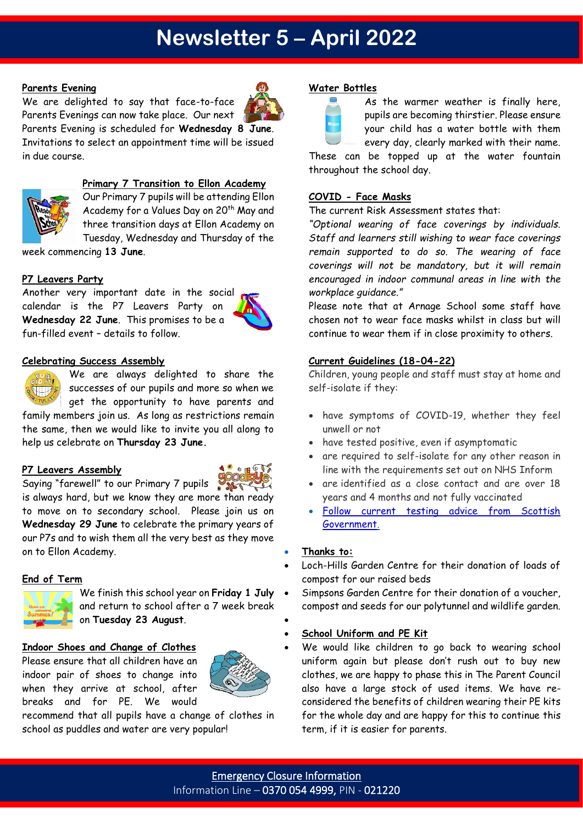# **Newsletter 5 – April 2022**

# **Parents Evening**

We are delighted to say that face-to-face Parents Evenings can now take place. Our next Parents Evening is scheduled for **Wednesday 8 June**. Invitations to select an appointment time will be issued in due course.



#### **Primary 7 Transition to Ellon Academy**

Our Primary 7 pupils will be attending Ellon Academy for a Values Day on 20<sup>th</sup> May and three transition days at Ellon Academy on Tuesday, Wednesday and Thursday of the

week commencing **13 June**.

# **P7 Leavers Party**

Another very important date in the social calendar is the P7 Leavers Party on **Wednesday 22 June**. This promises to be a fun-filled event – details to follow.



# **Celebrating Success Assembly**



We are always delighted to share the successes of our pupils and more so when we get the opportunity to have parents and family members join us. As long as restrictions remain the same, then we would like to invite you all along to

help us celebrate on **Thursday 23 June.**

# **P7 Leavers Assembly**



Saying "farewell" to our Primary 7 pupils is always hard, but we know they are more than ready to move on to secondary school. Please join us on **Wednesday 29 June** to celebrate the primary years of our P7s and to wish them all the very best as they move on to Ellon Academy.

# **End of Term**



We finish this school year on **Friday 1 July** and return to school after a 7 week break on **Tuesday 23 August**. •

#### **Indoor Shoes and Change of Clothes**

Please ensure that all children have an indoor pair of shoes to change into when they arrive at school, after breaks and for PE. We would



recommend that all pupils have a change of clothes in school as puddles and water are very popular!

### **Water Bottles**



As the warmer weather is finally here, pupils are becoming thirstier. Please ensure your child has a water bottle with them every day, clearly marked with their name.

These can be topped up at the water fountain throughout the school day.

### **COVID - Face Masks**

The current Risk Assessment states that:

*"Optional wearing of face coverings by individuals. Staff and learners still wishing to wear face coverings remain supported to do so. The wearing of face coverings will not be mandatory, but it will remain encouraged in indoor communal areas in line with the workplace guidance."*

Please note that at Arnage School some staff have chosen not to wear face masks whilst in class but will continue to wear them if in close proximity to others.

# **Current Guidelines (18-04-22)**

Children, young people and staff must stay at home and self-isolate if they:

- have symptoms of COVID-19, whether they feel unwell or not
- have tested positive, even if asymptomatic
- are required to self-isolate for any other reason in line with the requirements set out on NHS Inform
- are identified as a close contact and are over 18 years and 4 months and not fully vaccinated
- [Follow current testing advice from Scottish](https://www.gov.scot/publications/test-protect-transition-plan/)  [Government.](https://www.gov.scot/publications/test-protect-transition-plan/)

#### • **Thanks to:**

- Loch-Hills Garden Centre for their donation of loads of compost for our raised beds
	- Simpsons Garden Centre for their donation of a voucher, compost and seeds for our polytunnel and wildlife garden.

# • **School Uniform and PE Kit**

We would like children to go back to wearing school uniform again but please don't rush out to buy new clothes, we are happy to phase this in The Parent Council also have a large stock of used items. We have reconsidered the benefits of children wearing their PE kits for the whole day and are happy for this to continue this term, if it is easier for parents.

Emergency Closure Information Information Line – 0370 054 4999, PIN - 021220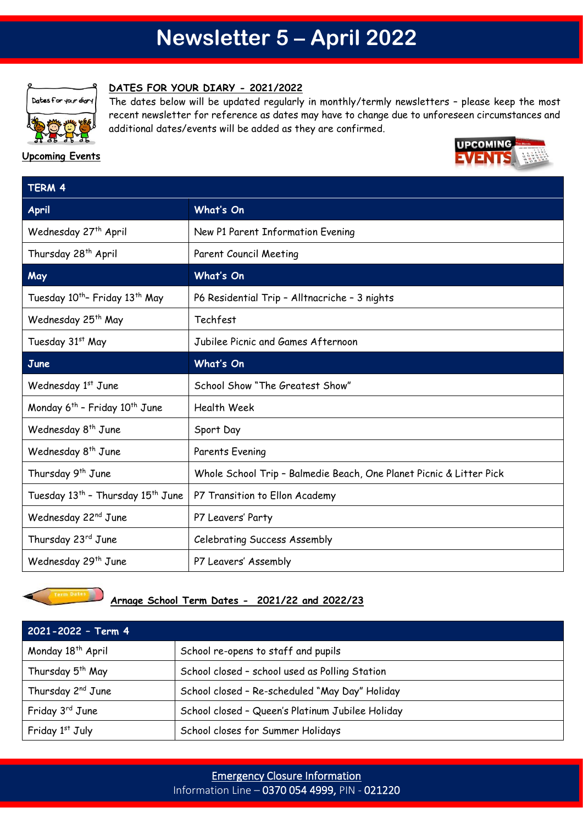# **Newsletter 5 – April 2022**



**Upcoming Events**

#### **DATES FOR YOUR DIARY - 2021/2022**

The dates below will be updated regularly in monthly/termly newsletters – please keep the most recent newsletter for reference as dates may have to change due to unforeseen circumstances and additional dates/events will be added as they are confirmed.

# **UPCOMING**

| TERM 4                                                    |                                                                     |
|-----------------------------------------------------------|---------------------------------------------------------------------|
| <b>April</b>                                              | What's On                                                           |
| Wednesday 27 <sup>th</sup> April                          | New P1 Parent Information Evening                                   |
| Thursday 28 <sup>th</sup> April                           | <b>Parent Council Meeting</b>                                       |
| May                                                       | What's On                                                           |
| Tuesday 10 <sup>th</sup> - Friday 13 <sup>th</sup> May    | P6 Residential Trip - Alltnacriche - 3 nights                       |
| Wednesday 25 <sup>th</sup> May                            | Techfest                                                            |
| Tuesday 31st May                                          | Jubilee Picnic and Games Afternoon                                  |
| June                                                      | What's On                                                           |
| Wednesday 1st June                                        | School Show "The Greatest Show"                                     |
| Monday 6 <sup>th</sup> - Friday 10 <sup>th</sup> June     | <b>Health Week</b>                                                  |
| Wednesday 8 <sup>th</sup> June                            | Sport Day                                                           |
| Wednesday 8 <sup>th</sup> June                            | Parents Evening                                                     |
| Thursday 9 <sup>th</sup> June                             | Whole School Trip - Balmedie Beach, One Planet Picnic & Litter Pick |
| Tuesday 13 <sup>th</sup> - Thursday 15 <sup>th</sup> June | P7 Transition to Ellon Academy                                      |
| Wednesday 22 <sup>nd</sup> June                           | P7 Leavers' Party                                                   |
| Thursday 23rd June                                        | Celebrating Success Assembly                                        |
|                                                           |                                                                     |



# **Arnage School Term Dates - 2021/22 and 2022/23**

Wednesday 29<sup>th</sup> June **P7 Leavers' Assembly** 

| 2021-2022 - Term 4            |                                                  |
|-------------------------------|--------------------------------------------------|
| Monday 18 <sup>th</sup> April | School re-opens to staff and pupils              |
| Thursday 5 <sup>th</sup> May  | School closed - school used as Polling Station   |
| Thursday 2 <sup>nd</sup> June | School closed - Re-scheduled "May Day" Holiday   |
| Friday 3 <sup>rd</sup> June   | School closed - Queen's Platinum Jubilee Holiday |
| Friday 1st July               | School closes for Summer Holidays                |

# Emergency Closure Information Information Line – 0370 054 4999, PIN - 021220